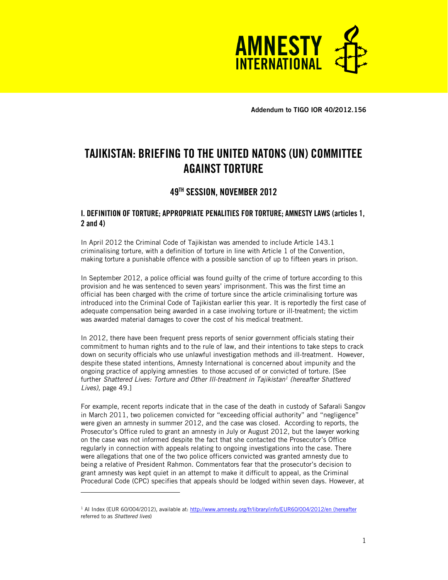

**Addendum to TIGO IOR 40/2012.156** 

# **TAJIKISTAN: BRIEFING TO THE UNITED NATONS (UN) COMMITTEE AGAINST TORTURE**

# **49TH SESSION, NOVEMBER 2012**

# **I. DEFINITION OF TORTURE; APPROPRIATE PENALITIES FOR TORTURE; AMNESTY LAWS (articles 1, 2 and 4)**

In April 2012 the Criminal Code of Tajikistan was amended to include Article 143.1 criminalising torture, with a definition of torture in line with Article 1 of the Convention, making torture a punishable offence with a possible sanction of up to fifteen years in prison.

In September 2012, a police official was found guilty of the crime of torture according to this provision and he was sentenced to seven years' imprisonment. This was the first time an official has been charged with the crime of torture since the article criminalising torture was introduced into the Criminal Code of Tajikistan earlier this year. It is reportedly the first case of adequate compensation being awarded in a case involving torture or ill-treatment; the victim was awarded material damages to cover the cost of his medical treatment.

In 2012, there have been frequent press reports of senior government officials stating their commitment to human rights and to the rule of law, and their intentions to take steps to crack down on security officials who use unlawful investigation methods and ill-treatment. However, despite these stated intentions, Amnesty International is concerned about impunity and the ongoing practice of applying amnesties to those accused of or convicted of torture. [See further *Shattered Lives: Torture and Other Ill-treatment in Tajikistan<sup>1</sup> (hereafter Shattered Lives),* page 49.]

For example, recent reports indicate that in the case of the death in custody of Safarali Sangov in March 2011, two policemen convicted for "exceeding official authority" and "negligence" were given an amnesty in summer 2012, and the case was closed. According to reports, the Prosecutor's Office ruled to grant an amnesty in July or August 2012, but the lawyer working on the case was not informed despite the fact that she contacted the Prosecutor's Office regularly in connection with appeals relating to ongoing investigations into the case. There were allegations that one of the two police officers convicted was granted amnesty due to being a relative of President Rahmon. Commentators fear that the prosecutor's decision to grant amnesty was kept quiet in an attempt to make it difficult to appeal, as the Criminal Procedural Code (CPC) specifies that appeals should be lodged within seven days. However, at

-

<sup>&</sup>lt;sup>1</sup> AI Index (EUR 60/004/2012), available at: http://www.amnesty.org/fr/library/info/EUR60/004/2012/en (hereafter referred to as *Shattered lives*)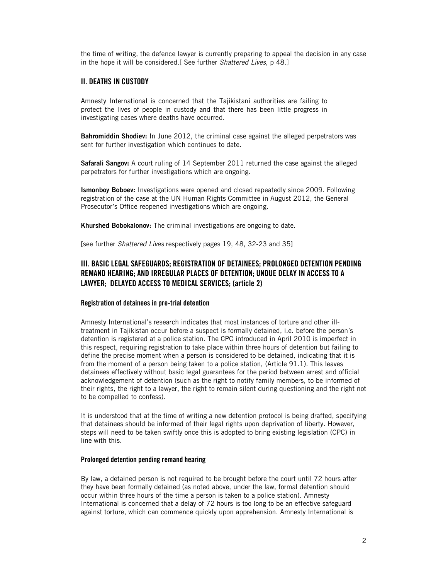the time of writing, the defence lawyer is currently preparing to appeal the decision in any case in the hope it will be considered.[ See further *Shattered Lives*, p 48.]

### **II. DEATHS IN CUSTODY**

Amnesty International is concerned that the Tajikistani authorities are failing to protect the lives of people in custody and that there has been little progress in investigating cases where deaths have occurred.

**Bahromiddin Shodiev:** In June 2012, the criminal case against the alleged perpetrators was sent for further investigation which continues to date.

**Safarali Sangov:** A court ruling of 14 September 2011 returned the case against the alleged perpetrators for further investigations which are ongoing.

**Ismonboy Boboev:** Investigations were opened and closed repeatedly since 2009. Following registration of the case at the UN Human Rights Committee in August 2012, the General Prosecutor's Office reopened investigations which are ongoing.

**Khurshed Bobokalonov:** The criminal investigations are ongoing to date.

[see further *Shattered Lives* respectively pages 19, 48, 32-23 and 35]

# **III. BASIC LEGAL SAFEGUARDS; REGISTRATION OF DETAINEES; PROLONGED DETENTION PENDING REMAND HEARING; AND IRREGULAR PLACES OF DETENTION; UNDUE DELAY IN ACCESS TO A LAWYER; DELAYED ACCESS TO MEDICAL SERVICES; (article 2)**

#### **Registration of detainees in pre-trial detention**

Amnesty International's research indicates that most instances of torture and other illtreatment in Tajikistan occur before a suspect is formally detained, i.e. before the person's detention is registered at a police station. The CPC introduced in April 2010 is imperfect in this respect, requiring registration to take place within three hours of detention but failing to define the precise moment when a person is considered to be detained, indicating that it is from the moment of a person being taken to a police station, (Article 91.1). This leaves detainees effectively without basic legal guarantees for the period between arrest and official acknowledgement of detention (such as the right to notify family members, to be informed of their rights, the right to a lawyer, the right to remain silent during questioning and the right not to be compelled to confess).

It is understood that at the time of writing a new detention protocol is being drafted, specifying that detainees should be informed of their legal rights upon deprivation of liberty. However, steps will need to be taken swiftly once this is adopted to bring existing legislation (CPC) in line with this.

#### **Prolonged detention pending remand hearing**

By law, a detained person is not required to be brought before the court until 72 hours after they have been formally detained (as noted above, under the law, formal detention should occur within three hours of the time a person is taken to a police station). Amnesty International is concerned that a delay of 72 hours is too long to be an effective safeguard against torture, which can commence quickly upon apprehension. Amnesty International is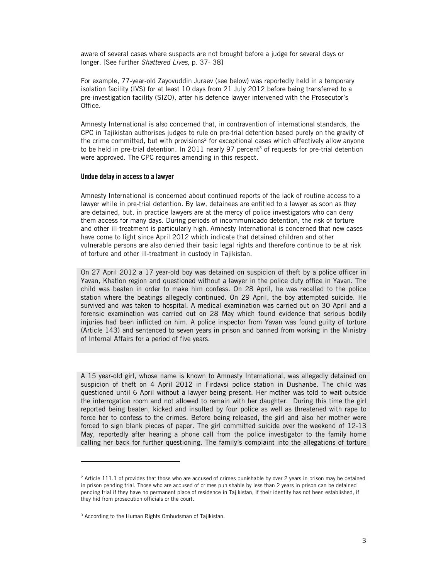aware of several cases where suspects are not brought before a judge for several days or longer. [See further *Shattered Lives,* p. 37- 38]

For example, 77-year-old Zayovuddin Juraev (see below) was reportedly held in a temporary isolation facility (IVS) for at least 10 days from 21 July 2012 before being transferred to a pre-investigation facility (SIZO), after his defence lawyer intervened with the Prosecutor's Office.

Amnesty International is also concerned that, in contravention of international standards, the CPC in Tajikistan authorises judges to rule on pre-trial detention based purely on the gravity of the crime committed, but with provisions<sup>2</sup> for exceptional cases which effectively allow anyone to be held in pre-trial detention. In 2011 nearly 97 percent<sup>3</sup> of requests for pre-trial detention were approved. The CPC requires amending in this respect.

#### **Undue delay in access to a lawyer**

Amnesty International is concerned about continued reports of the lack of routine access to a lawyer while in pre-trial detention. By law, detainees are entitled to a lawyer as soon as they are detained, but, in practice lawyers are at the mercy of police investigators who can deny them access for many days. During periods of incommunicado detention, the risk of torture and other ill-treatment is particularly high. Amnesty International is concerned that new cases have come to light since April 2012 which indicate that detained children and other vulnerable persons are also denied their basic legal rights and therefore continue to be at risk of torture and other ill-treatment in custody in Tajikistan.

On 27 April 2012 a 17 year-old boy was detained on suspicion of theft by a police officer in Yavan, Khatlon region and questioned without a lawyer in the police duty office in Yavan. The child was beaten in order to make him confess. On 28 April, he was recalled to the police station where the beatings allegedly continued. On 29 April, the boy attempted suicide. He survived and was taken to hospital. A medical examination was carried out on 30 April and a forensic examination was carried out on 28 May which found evidence that serious bodily injuries had been inflicted on him. A police inspector from Yavan was found guilty of torture (Article 143) and sentenced to seven years in prison and banned from working in the Ministry of Internal Affairs for a period of five years.

A 15 year-old girl, whose name is known to Amnesty International, was allegedly detained on suspicion of theft on 4 April 2012 in Firdavsi police station in Dushanbe. The child was questioned until 6 April without a lawyer being present. Her mother was told to wait outside the interrogation room and not allowed to remain with her daughter. During this time the girl reported being beaten, kicked and insulted by four police as well as threatened with rape to force her to confess to the crimes. Before being released, the girl and also her mother were forced to sign blank pieces of paper. The girl committed suicide over the weekend of 12-13 May, reportedly after hearing a phone call from the police investigator to the family home calling her back for further questioning. The family's complaint into the allegations of torture

-

<sup>&</sup>lt;sup>2</sup> Article 111.1 of provides that those who are accused of crimes punishable by over 2 years in prison may be detained in prison pending trial. Those who are accused of crimes punishable by less than 2 years in prison can be detained pending trial if they have no permanent place of residence in Tajikistan, if their identity has not been established, if they hid from prosecution officials or the court.

<sup>3</sup> According to the Human Rights Ombudsman of Tajikistan.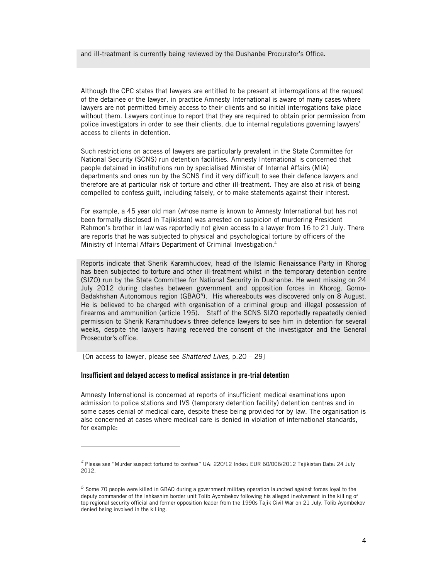and ill-treatment is currently being reviewed by the Dushanbe Procurator's Office.

Although the CPC states that lawyers are entitled to be present at interrogations at the request of the detainee or the lawyer, in practice Amnesty International is aware of many cases where lawyers are not permitted timely access to their clients and so initial interrogations take place without them. Lawyers continue to report that they are required to obtain prior permission from police investigators in order to see their clients, due to internal regulations governing lawyers' access to clients in detention.

Such restrictions on access of lawyers are particularly prevalent in the State Committee for National Security (SCNS) run detention facilities. Amnesty International is concerned that people detained in institutions run by specialised Minister of Internal Affairs (MIA) departments and ones run by the SCNS find it very difficult to see their defence lawyers and therefore are at particular risk of torture and other ill-treatment. They are also at risk of being compelled to confess guilt, including falsely, or to make statements against their interest.

For example, a 45 year old man (whose name is known to Amnesty International but has not been formally disclosed in Tajikistan) was arrested on suspicion of murdering President Rahmon's brother in law was reportedly not given access to a lawyer from 16 to 21 July. There are reports that he was subjected to physical and psychological torture by officers of the Ministry of Internal Affairs Department of Criminal Investigation.<sup>4</sup>

Reports indicate that Sherik Karamhudoev, head of the Islamic Renaissance Party in Khorog has been subjected to torture and other ill-treatment whilst in the temporary detention centre (SIZO) run by the State Committee for National Security in Dushanbe. He went missing on 24 July 2012 during clashes between government and opposition forces in Khorog, Gorno-Badakhshan Autonomous region (GBAO<sup>5</sup>). His whereabouts was discovered only on 8 August. He is believed to be charged with organisation of a criminal group and illegal possession of firearms and ammunition (article 195). Staff of the SCNS SIZO reportedly repeatedly denied permission to Sherik Karamhudoev's three defence lawyers to see him in detention for several weeks, despite the lawyers having received the consent of the investigator and the General Prosecutor's office.

[On access to lawyer, please see *Shattered Lives,* p.20 – 29]

-

#### **Insufficient and delayed access to medical assistance in pre-trial detention**

Amnesty International is concerned at reports of insufficient medical examinations upon admission to police stations and IVS (temporary detention facility) detention centres and in some cases denial of medical care, despite these being provided for by law. The organisation is also concerned at cases where medical care is denied in violation of international standards, for example:

*<sup>4</sup>* Please see "Murder suspect tortured to confess" UA: 220/12 Index: EUR 60/006/2012 Tajikistan Date: 24 July 2012.

*<sup>5</sup>* Some 70 people were killed in GBAO during a government military operation launched against forces loyal to the deputy commander of the Ishkashim border unit Tolib Ayombekov following his alleged involvement in the killing of top regional security official and former opposition leader from the 1990s Tajik Civil War on 21 July. Tolib Ayombekov denied being involved in the killing.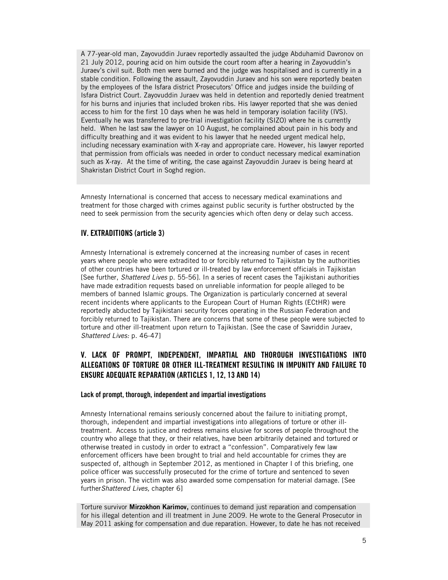A 77-year-old man, Zayovuddin Juraev reportedly assaulted the judge Abduhamid Davronov on 21 July 2012, pouring acid on him outside the court room after a hearing in Zayovuddin's Juraev's civil suit. Both men were burned and the judge was hospitalised and is currently in a stable condition. Following the assault, Zayovuddin Juraev and his son were reportedly beaten by the employees of the Isfara district Prosecutors' Office and judges inside the building of Isfara District Court. Zayovuddin Juraev was held in detention and reportedly denied treatment for his burns and injuries that included broken ribs. His lawyer reported that she was denied access to him for the first 10 days when he was held in temporary isolation facility (IVS). Eventually he was transferred to pre-trial investigation facility (SIZO) where he is currently held. When he last saw the lawyer on 10 August, he complained about pain in his body and difficulty breathing and it was evident to his lawyer that he needed urgent medical help, including necessary examination with X-ray and appropriate care. However, his lawyer reported that permission from officials was needed in order to conduct necessary medical examination such as X-ray. At the time of writing, the case against Zayovuddin Juraev is being heard at Shakristan District Court in Soghd region.

Amnesty International is concerned that access to necessary medical examinations and treatment for those charged with crimes against public security is further obstructed by the need to seek permission from the security agencies which often deny or delay such access.

## **IV. EXTRADITIONS (article 3)**

Amnesty International is extremely concerned at the increasing number of cases in recent years where people who were extradited to or forcibly returned to Tajikistan by the authorities of other countries have been tortured or ill-treated by law enforcement officials in Tajikistan [See further, *Shattered Lives* p. 55-56]. In a series of recent cases the Tajikistani authorities have made extradition requests based on unreliable information for people alleged to be members of banned Islamic groups. The Organization is particularly concerned at several recent incidents where applicants to the European Court of Human Rights (ECtHR) were reportedly abducted by Tajikistani security forces operating in the Russian Federation and forcibly returned to Tajikistan. There are concerns that some of these people were subjected to torture and other ill-treatment upon return to Tajikistan. [See the case of Savriddin Juraev, *Shattered Lives:* p. 46-47]

# **V. LACK OF PROMPT, INDEPENDENT, IMPARTIAL AND THOROUGH INVESTIGATIONS INTO ALLEGATIONS OF TORTURE OR OTHER ILL-TREATMENT RESULTING IN IMPUNITY AND FAILURE TO ENSURE ADEQUATE REPARATION (ARTICLES 1, 12, 13 AND 14)**

#### **Lack of prompt, thorough, independent and impartial investigations**

Amnesty International remains seriously concerned about the failure to initiating prompt, thorough, independent and impartial investigations into allegations of torture or other illtreatment. Access to justice and redress remains elusive for scores of people throughout the country who allege that they, or their relatives, have been arbitrarily detained and tortured or otherwise treated in custody in order to extract a "confession". Comparatively few law enforcement officers have been brought to trial and held accountable for crimes they are suspected of, although in September 2012, as mentioned in Chapter I of this briefing, one police officer was successfully prosecuted for the crime of torture and sentenced to seven years in prison. The victim was also awarded some compensation for material damage. [See further*Shattered Lives,* chapter 6]

Torture survivor **Mirzokhon Karimov,** continues to demand just reparation and compensation for his illegal detention and ill treatment in June 2009. He wrote to the General Prosecutor in May 2011 asking for compensation and due reparation. However, to date he has not received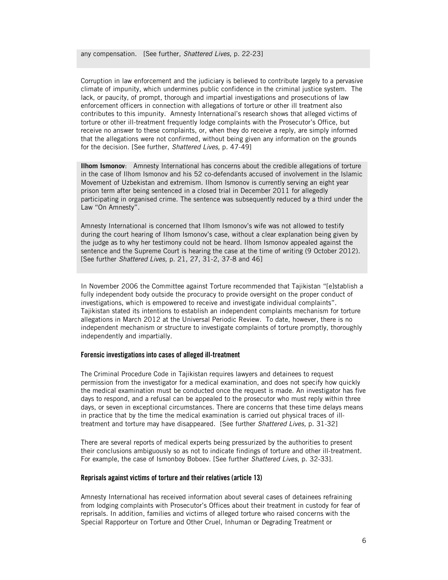Corruption in law enforcement and the judiciary is believed to contribute largely to a pervasive climate of impunity, which undermines public confidence in the criminal justice system. The lack, or paucity, of prompt, thorough and impartial investigations and prosecutions of law enforcement officers in connection with allegations of torture or other ill treatment also contributes to this impunity. Amnesty International's research shows that alleged victims of torture or other ill-treatment frequently lodge complaints with the Prosecutor's Office, but receive no answer to these complaints, or, when they do receive a reply, are simply informed that the allegations were not confirmed, without being given any information on the grounds for the decision. [See further, *Shattered Lives,* p. 47-49]

**Ilhom Ismonov**: Amnesty International has concerns about the credible allegations of torture in the case of Ilhom Ismonov and his 52 co-defendants accused of involvement in the Islamic Movement of Uzbekistan and extremism. Ilhom Ismonov is currently serving an eight year prison term after being sentenced in a closed trial in December 2011 for allegedly participating in organised crime. The sentence was subsequently reduced by a third under the Law "On Amnesty".

Amnesty International is concerned that Ilhom Ismonov's wife was not allowed to testify during the court hearing of Ilhom Ismonov's case, without a clear explanation being given by the judge as to why her testimony could not be heard. Ilhom Ismonov appealed against the sentence and the Supreme Court is hearing the case at the time of writing (9 October 2012). [See further *Shattered Lives,* p. 21, 27, 31-2, 37-8 and 46]

In November 2006 the Committee against Torture recommended that Tajikistan "[e]stablish a fully independent body outside the procuracy to provide oversight on the proper conduct of investigations, which is empowered to receive and investigate individual complaints". Tajikistan stated its intentions to establish an independent complaints mechanism for torture allegations in March 2012 at the Universal Periodic Review. To date, however, there is no independent mechanism or structure to investigate complaints of torture promptly, thoroughly independently and impartially.

#### **Forensic investigations into cases of alleged ill-treatment**

The Criminal Procedure Code in Tajikistan requires lawyers and detainees to request permission from the investigator for a medical examination, and does not specify how quickly the medical examination must be conducted once the request is made. An investigator has five days to respond, and a refusal can be appealed to the prosecutor who must reply within three days, or seven in exceptional circumstances. There are concerns that these time delays means in practice that by the time the medical examination is carried out physical traces of illtreatment and torture may have disappeared. [See further *Shattered Lives,* p. 31-32]

There are several reports of medical experts being pressurized by the authorities to present their conclusions ambiguously so as not to indicate findings of torture and other ill-treatment. For example, the case of Ismonboy Boboev. [See further *Shattered Lives*, p. 32-33].

#### **Reprisals against victims of torture and their relatives (article 13)**

Amnesty International has received information about several cases of detainees refraining from lodging complaints with Prosecutor's Offices about their treatment in custody for fear of reprisals. In addition, families and victims of alleged torture who raised concerns with the Special Rapporteur on Torture and Other Cruel, Inhuman or Degrading Treatment or